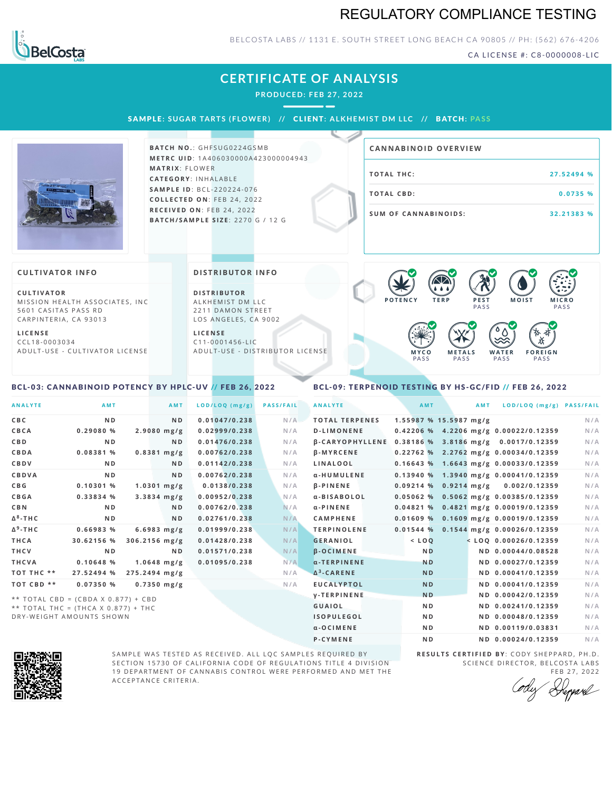## REGULATORY COMPLIANCE TESTING



### BELCOSTA LABS // 1131 E. SOUTH STREET LONG BEACH C A 90805 // PH: (562) 676-4206

CA LICENSE #: C8-0000008-LIC

|                                                                                                                                                                    | <b>CERTIFICATE OF ANALYSIS</b><br><b>PRODUCED: FEB 27, 2022</b>                                                                                                   |                                                                                                  |                                                                |
|--------------------------------------------------------------------------------------------------------------------------------------------------------------------|-------------------------------------------------------------------------------------------------------------------------------------------------------------------|--------------------------------------------------------------------------------------------------|----------------------------------------------------------------|
|                                                                                                                                                                    | SAMPLE: SUGAR TARTS (FLOWER) // CLIENT: ALKHEMIST DM LLC // BATCH: PASS                                                                                           |                                                                                                  |                                                                |
|                                                                                                                                                                    | <b>BATCH NO.: GHFSUG0224GSMB</b><br><b>METRC UID: 1A406030000A423000004943</b>                                                                                    | <b>CANNABINOID OVERVIEW</b>                                                                      |                                                                |
|                                                                                                                                                                    | <b>MATRIX: FLOWER</b><br><b>CATEGORY: INHALABLE</b>                                                                                                               | <b>TOTAL THC:</b>                                                                                | 27.52494 %                                                     |
|                                                                                                                                                                    | <b>SAMPLE ID: BCL-220224-076</b><br>COLLECTED ON: FEB 24, 2022                                                                                                    | <b>TOTAL CBD:</b>                                                                                | 0.0735%                                                        |
|                                                                                                                                                                    | RECEIVED ON: FEB 24, 2022<br><b>BATCH/SAMPLE SIZE: 2270 G / 12 G</b>                                                                                              | <b>SUM OF CANNABINOIDS:</b>                                                                      | 32.21383 %                                                     |
| <b>CULTIVATOR INFO</b>                                                                                                                                             | <b>DISTRIBUTOR INFO</b>                                                                                                                                           | $\bigtriangleup$                                                                                 |                                                                |
| CULTIVATOR<br>MISSION HEALTH ASSOCIATES, INC<br>5601 CASITAS PASS RD<br>CARPINTERIA, CA 93013<br><b>LICENSE</b><br>CCL18-0003034<br>ADULT-USE - CULTIVATOR LICENSE | <b>DISTRIBUTOR</b><br>ALKHEMIST DM LLC<br>2211 DAMON STREET<br>LOS ANGELES, CA 9002<br><b>LICENSE</b><br>$C11 - 0001456 - LIC$<br>ADULT-USE - DISTRIBUTOR LICENSE | POTENCY<br>PEST<br><b>TERP</b><br>PASS<br>MYCO<br><b>METALS</b><br>WATER<br>PASS<br>PASS<br>PASS | <b>MOIST</b><br><b>MICRO</b><br>PASS<br><b>FOREIGN</b><br>PASS |

### <span id="page-0-0"></span>BCL-03: CANNABINOID POTENCY BY HPLC-UV // FEB 26, 2022

### <span id="page-0-1"></span>BCL-09: TERPENOID TESTING BY HS-GC/FID // FEB 26, 2022

| <b>ANALYTE</b>  | AMT                                 | AMT             | LOD/LOQ (mg/g) | <b>PASS/FAIL</b> | <b>ANALYTE</b>                                       | AMT            | <b>AMT</b>             | LOD/LOQ (mg/g) PASS/FAIL                |     |
|-----------------|-------------------------------------|-----------------|----------------|------------------|------------------------------------------------------|----------------|------------------------|-----------------------------------------|-----|
| <b>CBC</b>      | N <sub>D</sub>                      | N <sub>D</sub>  | 0.01047/0.238  | N/A              | <b>TOTAL TERPENES</b>                                |                | 1.55987 % 15.5987 mg/g |                                         | N/A |
| CBCA            | 0.29080%                            | $2.9080$ mg/g   | 0.02999/0.238  | N/A              | <b>D-LIMONENE</b>                                    |                |                        | 0.42206 % 4.2206 mg/g 0.00022/0.12359   | N/A |
| <b>CBD</b>      | N D                                 | N <sub>D</sub>  | 0.01476/0.238  | N/A              | β-CARYOPHYLLENE 0.38186 % 3.8186 mg/g 0.0017/0.12359 |                |                        |                                         | N/A |
| CBDA            | 0.08381 %                           | $0.8381$ mg/g   | 0.00762/0.238  | N/A              | $\beta$ -MYRCENE                                     |                |                        | $0.22762$ % 2.2762 mg/g 0.00034/0.12359 | N/A |
| CBDV            | N D                                 | ND.             | 0.01142/0.238  | N/A              | LINALOOL                                             |                |                        | 0.16643 % 1.6643 mg/g 0.00033/0.12359   | N/A |
| CBDVA           | ND.                                 | N <sub>D</sub>  | 0.00762/0.238  | N/A              | α-HUMULENE                                           |                |                        | 0.13940 % 1.3940 mg/g 0.00041/0.12359   | N/A |
| C B G           | 0.10301 %                           | $1.0301$ mg/g   | 0.0138/0.238   | N/A              | <b>B-PINENE</b>                                      |                | $0.09214%$ 0.9214 mg/g | 0.002/0.12359                           | N/A |
| CBGA            | 0.33834 %                           | $3.3834$ mg/g   | 0.00952/0.238  | N/A              | α-BISABOLOL                                          |                |                        | 0.05062 % 0.5062 mg/g 0.00385/0.12359   | N/A |
| <b>CBN</b>      | N D                                 | <b>ND</b>       | 0.00762/0.238  | N/A              | $\alpha$ -PINENE                                     | 0.04821%       |                        | 0.4821 mg/g 0.00019/0.12359             | N/A |
| $\Delta^8$ -THC | N <sub>D</sub>                      | N <sub>D</sub>  | 0.02761/0.238  | N/A              | <b>CAMPHENE</b>                                      | 0.01609%       |                        | 0.1609 mg/g 0.00019/0.12359             | N/A |
| $\Delta^9$ -THC | 0.66983 %                           | $6.6983$ mg/g   | 0.01999/0.238  | N/A              | <b>TERPINOLENE</b>                                   | 0.01544%       |                        | 0.1544 mg/g 0.00026/0.12359             | N/A |
| THCA            | 30.62156 %                          | $306.2156$ mg/g | 0.01428/0.238  | N/A              | <b>GERANIOL</b>                                      | $<$ LOO        |                        | $<$ LOQ 0.00026/0.12359                 | N/A |
| THCV            | N <sub>D</sub>                      | N <sub>D</sub>  | 0.01571/0.238  | N/A              | $\beta$ -OCIMENE                                     | <b>ND</b>      |                        | ND 0.00044/0.08528                      | N/A |
| THCVA           | 0.10648 %                           | $1.0648$ mg/g   | 0.01095/0.238  | N/A              | $\alpha$ -TERPINENE                                  | <b>ND</b>      |                        | ND 0.00027/0.12359                      | N/A |
| TOT THC **      | 27.52494 %                          | 275.2494 mg/g   |                | N/A              | $\Delta^3$ -CARENE                                   | <b>ND</b>      |                        | ND 0.00041/0.12359                      | N/A |
| TOT CBD **      | 0.07350%                            | $0.7350$ mg/g   |                | N/A              | <b>EUCALYPTOL</b>                                    | <b>ND</b>      |                        | ND 0.00041/0.12359                      | N/A |
|                 | ** TOTAL CBD = (CBDA X 0.877) + CBD |                 |                |                  | <b>V-TERPINENE</b>                                   | <b>ND</b>      |                        | ND 0.00042/0.12359                      | N/A |
|                 | ** TOTAL THC = (THCA X 0.877) + THC |                 |                |                  | GUAIOL                                               | <b>ND</b>      |                        | ND 0.00241/0.12359                      | N/A |
|                 | DRY-WEIGHT AMOUNTS SHOWN            |                 |                |                  | <b>ISOPULEGOL</b>                                    | N <sub>D</sub> |                        | ND 0.00048/0.12359                      | N/A |



SAMPLE WAS TESTED AS RECEIVED. ALL LQC SAMPLES REQUIRED BY SECTION 15730 OF CALIFORNIA CODE OF REGULATIONS TITLE 4 DIVISION 19 DEPARTMENT OF CANNABIS CONTROL WERE PERFORMED AND MET THE A C C E P T A N C E C R I T E R I A.

**R E S U L T S C E R T I F I E D BY** : C O D Y S H E P P A R D ,P H .D . SCIENCE DIRECTOR, BELCOSTA LABS

 $\alpha$ -OCIMENE ND ND ND 0.00119/0.03831 N/A **P-CYMENE ND ND 0.00024/0.12359** N/A

FEB 27, 2022<br>Repard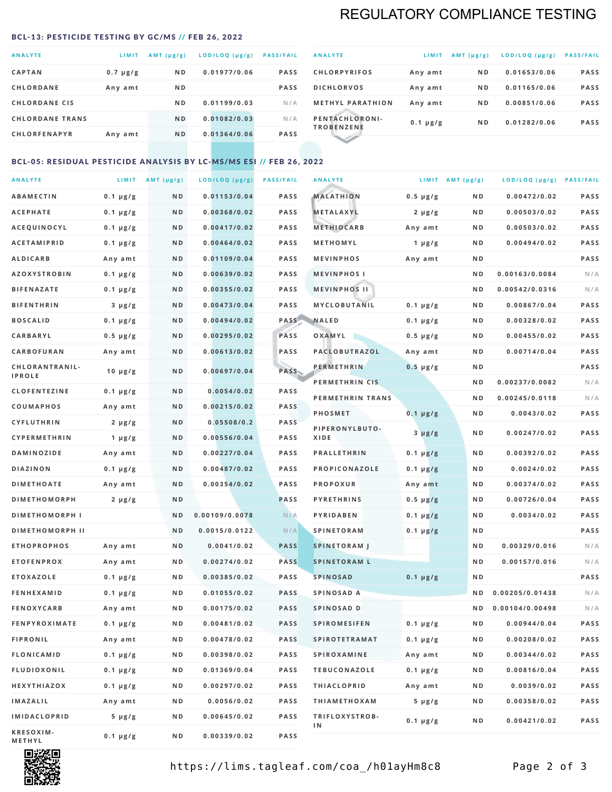### REGULATORY COMPLIANCE TESTING

#### <span id="page-1-0"></span>BCL-13: PESTICIDE TESTING BY GC/MS // FEB 26, 2022

| <b>ANALYTE</b>         | LIMIT         | $AMT(\mu g/g)$ | LOD/LOQ (µg/g) | <b>PASS/FAIL</b> |
|------------------------|---------------|----------------|----------------|------------------|
| <b>CAPTAN</b>          | $0.7 \mu g/g$ | N <sub>D</sub> | 0.01977/0.06   | <b>PASS</b>      |
| <b>CHLORDANE</b>       | Any amt       | N <sub>D</sub> |                | <b>PASS</b>      |
| <b>CHLORDANE CIS</b>   |               | ND.            | 0.01199/0.03   | N/A              |
| <b>CHLORDANE TRANS</b> |               | N <sub>D</sub> | 0.01082/0.03   | N/A              |
| <b>CHLORFENAPYR</b>    | Any amt       | N <sub>D</sub> | 0.01364/0.06   | <b>PASS</b>      |
|                        |               |                |                |                  |

| <b>ANALYTE</b>                      | LIMIT         | $AMT (\mu g/g)$ | LOD/LOQ (µg/g) | <b>PASS/FAIL</b> |
|-------------------------------------|---------------|-----------------|----------------|------------------|
| <b>CHLORPYRIFOS</b>                 | Any amt       | N <sub>D</sub>  | 0.01653/0.06   | <b>PASS</b>      |
| <b>DICHLORVOS</b>                   | Any amt       | N <sub>D</sub>  | 0.01165/0.06   | <b>PASS</b>      |
| <b>METHYL PARATHION</b>             | Any amt       | N <sub>D</sub>  | 0.00851/0.06   | <b>PASS</b>      |
| PENTACHLORONI-<br><b>TROBENZENE</b> | $0.1 \mu g/g$ | N <sub>D</sub>  | 0.01282/0.06   | <b>PASS</b>      |
|                                     |               |                 |                |                  |

### BCL-05: RESIDUAL PESTICIDE ANALYSIS BY LC-MS/MS ESI // FEB 26, 2022

| <b>ANALYTE</b>             |               | LIMIT $AMT(\mu g/g)$ | LOD/LOQ (µg/g) | <b>PASS/FAIL</b> | <b>ANALYTE</b>       |                  | LIMIT AMT $(\mu g/g)$ | LOD/LOQ (µg/g) PASS/FAIL |      |
|----------------------------|---------------|----------------------|----------------|------------------|----------------------|------------------|-----------------------|--------------------------|------|
| <b>ABAMECTIN</b>           | $0.1 \mu g/g$ | N D                  | 0.01153/0.04   | <b>PASS</b>      | <b>MALATHION</b>     | $0.5 \mu g/g$    | N D                   | 0.00472/0.02             | PASS |
| <b>ACEPHATE</b>            | $0.1 \mu g/g$ | N D                  | 0.00368/0.02   | <b>PASS</b>      | <b>METALAXYL</b>     | $2 \mu g/g$      | N D                   | 0.00503/0.02             | PASS |
| ACEQUINOCYL                | $0.1 \mu g/g$ | N D                  | 0.00417/0.02   | <b>PASS</b>      | <b>METHIOCARB</b>    | Any amt          | N D                   | 0.00503/0.02             | PASS |
| <b>ACETAMIPRID</b>         | $0.1 \mu g/g$ | N D                  | 0.00464/0.02   | <b>PASS</b>      | METHOMYL             | 1 $\mu$ g/g      | N D                   | 0.00494/0.02             | PASS |
| <b>ALDICARB</b>            | Any amt       | N D                  | 0.01109/0.04   | <b>PASS</b>      | <b>MEVINPHOS</b>     | Any amt          | N D                   |                          | PASS |
| <b>AZOXYSTROBIN</b>        | $0.1 \mu g/g$ | N D                  | 0.00639/0.02   | <b>PASS</b>      | <b>MEVINPHOSI</b>    |                  | N D                   | 0.00163/0.0084           | N/A  |
| <b>BIFENAZATE</b>          | $0.1 \mu g/g$ | N D                  | 0.00355/0.02   | <b>PASS</b>      | <b>MEVINPHOS II</b>  |                  | N D                   | 0.00542/0.0316           | N/A  |
| <b>BIFENTHRIN</b>          | $3 \mu g/g$   | N D                  | 0.00473/0.04   | <b>PASS</b>      | <b>MYCLOBUTANIL</b>  | $0.1 \mu g/g$    | N D                   | 0.00867/0.04             | PASS |
| <b>BOSCALID</b>            | $0.1 \mu g/g$ | N D                  | 0.00494/0.02   | PASS             | <b>NALED</b>         | $0.1 \mu g/g$    | N D                   | 0.00328/0.02             | PASS |
| CARBARYL                   | $0.5 \mu g/g$ | N D                  | 0.00295/0.02   | PASS             | OXAMYL               | $0.5 \, \mu g/g$ | N D                   | 0.00455/0.02             | PASS |
| CARBOFURAN                 | Any amt       | N D                  | 0.00613/0.02   | <b>PASS</b>      | PACLOBUTRAZOL        | Any amt          | N D                   | 0.00714/0.04             | PASS |
| CHLORANTRANIL-             | $10 \mu g/g$  | N D                  | 0.00697/0.04   | PASS             | <b>PERMETHRIN</b>    | $0.5 \mu g/g$    | N D                   |                          | PASS |
| <b>IPROLE</b>              |               |                      |                |                  | PERMETHRIN CIS       |                  | N D                   | 0.00237/0.0082           | N/A  |
| <b>CLOFENTEZINE</b>        | $0.1 \mu g/g$ | N D                  | 0.0054/0.02    | <b>PASS</b>      | PERMETHRIN TRANS     |                  | N D                   | 0.00245/0.0118           | N/A  |
| <b>COUMAPHOS</b>           | Any amt       | N D                  | 0.00215/0.02   | <b>PASS</b>      | <b>PHOSMET</b>       | $0.1 \, \mu g/g$ | N D                   | 0.0043/0.02              | PASS |
| <b>CYFLUTHRIN</b>          | $2 \mu g/g$   | N D                  | 0.05508/0.2    | <b>PASS</b>      | PIPERONYLBUTO-       | $3 \mu g/g$      | N D                   | 0.00247/0.02             | PASS |
| CYPERMETHRIN               | 1 $\mu$ g/g   | N D                  | 0.00556/0.04   | <b>PASS</b>      | XIDE                 |                  |                       |                          |      |
| <b>DAMINOZIDE</b>          | Any amt       | N D                  | 0.00227/0.04   | <b>PASS</b>      | <b>PRALLETHRIN</b>   | $0.1 \mu g/g$    | N D                   | 0.00392/0.02             | PASS |
| <b>DIAZINON</b>            | $0.1 \mu g/g$ | N D                  | 0.00487/0.02   | <b>PASS</b>      | PROPICONAZOLE        | $0.1 \mu g/g$    | N D                   | 0.0024/0.02              | PASS |
| <b>DIMETHOATE</b>          | Any amt       | N D                  | 0.00354/0.02   | <b>PASS</b>      | <b>PROPOXUR</b>      | Any amt          | N D                   | 0.00374/0.02             | PASS |
| <b>DIMETHOMORPH</b>        | $2 \mu g/g$   | ND                   |                | PASS             | <b>PYRETHRINS</b>    | $0.5 \mu g/g$    | N D                   | 0.00726/0.04             | PASS |
| <b>DIMETHOMORPH I</b>      |               | ND                   | 0.00109/0.0078 | N/A              | <b>PYRIDABEN</b>     | $0.1 \mu g/g$    | N D                   | 0.0034/0.02              | PASS |
| <b>DIMETHOMORPH II</b>     |               | ND                   | 0.0015/0.0122  | N/A              | <b>SPINETORAM</b>    | $0.1 \mu g/g$    | N D                   |                          | PASS |
| <b>ETHOPROPHOS</b>         | Any amt       | N D                  | 0.0041/0.02    | <b>PASS</b>      | <b>SPINETORAM J</b>  |                  | N D                   | 0.00329/0.016            | N/A  |
| <b>ETOFENPROX</b>          | Any amt       | N D                  | 0.00274/0.02   | <b>PASS</b>      | <b>SPINETORAM L</b>  |                  | N D                   | 0.00157/0.016            | N/A  |
| <b>ETOXAZOLE</b>           | $0.1 \mu g/g$ | N D                  | 0.00385/0.02   | <b>PASS</b>      | <b>SPINOSAD</b>      | $0.1 \mu g/g$    | N D                   |                          | PASS |
| <b>FENHEXAMID</b>          | $0.1 \mu g/g$ | N D                  | 0.01055/0.02   | <b>PASS</b>      | SPINOSAD A           |                  | N D                   | 0.00205/0.01438          | N/A  |
| <b>FENOXYCARB</b>          | Any amt       | N D                  | 0.00175/0.02   | <b>PASS</b>      | SPINOSAD D           |                  | ND.                   | 0.00104/0.00498          | N/A  |
| <b>FENPYROXIMATE</b>       | $0.1 \mu g/g$ | N D                  | 0.00481/0.02   | <b>PASS</b>      | <b>SPIROMESIFEN</b>  | $0.1 \, \mu g/g$ | N D                   | 0.00944/0.04             | PASS |
| <b>FIPRONIL</b>            | Any amt       | N D                  | 0.00478/0.02   | PASS             | <b>SPIROTETRAMAT</b> | $0.1 \mu g/g$    | N D                   | 0.00208/0.02             | PASS |
| <b>FLONICAMID</b>          | $0.1 \mu g/g$ | N D                  | 0.00398/0.02   | PASS             | <b>SPIROXAMINE</b>   | Any amt          | N D                   | 0.00344/0.02             | PASS |
| <b>FLUDIOXONIL</b>         | $0.1 \mu g/g$ | N D                  | 0.01369/0.04   | PASS             | <b>TEBUCONAZOLE</b>  | $0.1 \mu g/g$    | N D                   | 0.00816/0.04             | PASS |
| HEXYTHIAZOX                | 0.1 µg/g      | N D                  | 0.00297/0.02   | PASS             | <b>THIACLOPRID</b>   | Any amt          | N D                   | 0.0039/0.02              | PASS |
| <b>IMAZALIL</b>            | Any amt       | N D                  | 0.0056/0.02    | PASS             | <b>THIAMETHOXAM</b>  | $5 \mu g/g$      | N D                   | 0.00358/0.02             | PASS |
| <b>IMIDACLOPRID</b>        | $5 \mu g/g$   | N D                  | 0.00645/0.02   | PASS             | TRIFLOXYSTROB-<br>1N | $0.1 \mu g/g$    | N D                   | 0.00421/0.02             | PASS |
| KRESOXIM-<br><b>METHYL</b> | $0.1 \mu g/g$ | N D                  | 0.00339/0.02   | PASS             |                      |                  |                       |                          |      |